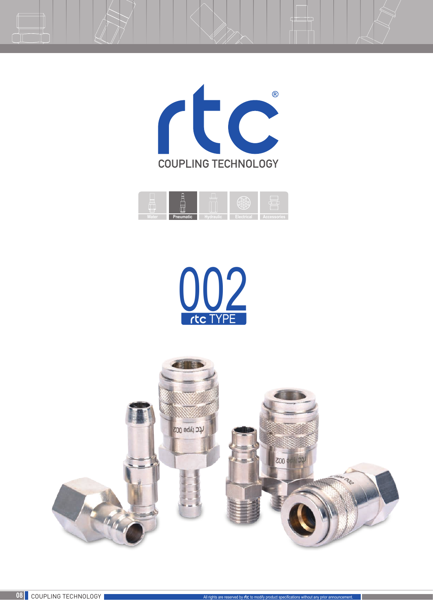







Ŧ

 $\Box$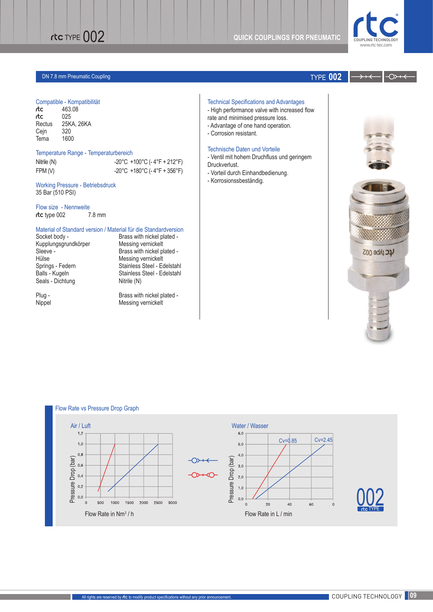

↷

# DN 7.8 mm Pneumatic Coupling TYPE **002**

## Compatible - Kompatibilität

| rtc    | 463.08     |
|--------|------------|
| rtc    | 025        |
| Rectus | 25KA, 26KA |
| Cejn   | 320        |
| Tema   | 1600       |

### Temperature Range - Temperaturbereich

| Nitrile (N) | $-20^{\circ}$ C +100 $^{\circ}$ C (- 4 $^{\circ}$ F + 212 $^{\circ}$ F) |
|-------------|-------------------------------------------------------------------------|
| FPM (V)     | $-20^{\circ}$ C +180 $^{\circ}$ C (-4 $^{\circ}$ F + 356 $^{\circ}$ F)  |

Working Pressure - Betriebsdruck 35 Bar (510 PSI)

Flow size - Nennweite rtc type 002 7.8 mm

# Material of Standard version / Material für die Standardversion<br>Socket body - Brass with nickel plated -

Kupplungsgrundkörper<br>Sleeve -Hülse Messing vernickelt<br>
Springs - Federn Stainless Steel - Ed Seals - Dichtung Nitrile (N)

Brass with nickel plated -<br>Messing vernickelt Brass with nickel plated -Springs - Federn Stainless Steel - Edelstahl Balls - Kugeln Stainless Steel - Edelstahl

Plug - Brass with nickel plated -Nippel Messing vernickelt

- Technical Specifications and Advantages
- High performance valve with increased flow
- rate and minimised pressure loss.
- Advantage of one hand operation.
- Corrosion resistant.

## Technische Daten und Vorteile

- Ventil mit hohem Druchfluss und geringem Druckverlust.

- Vorteil durch Einhandbedienung.
- Korrosionssbeständig.





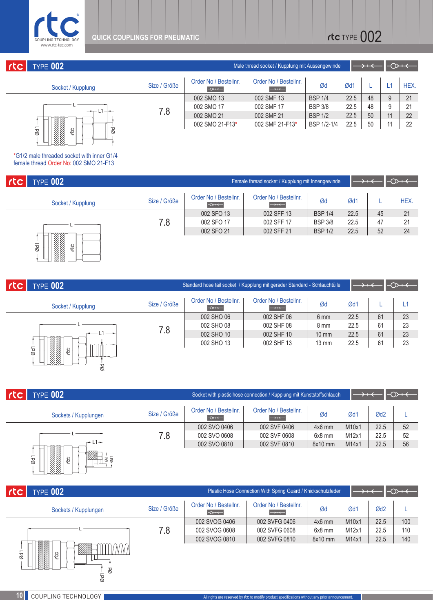

| rtc      | <b>TYPE 002</b>   |                 | Male thread socket / Kupplung mit Aussengewinde | $\rightarrow$ + $\leftarrow$               |      | マイト |    |    |      |
|----------|-------------------|-----------------|-------------------------------------------------|--------------------------------------------|------|-----|----|----|------|
|          | Socket / Kupplung | Size / Größe    | Order No / Bestellnr.<br>$\rightarrow$          | Order No / Bestellnr.<br>$\longrightarrow$ | Ød   | Ød1 |    |    | HEX. |
| NAN SILA | 7.8               | 002 SMO 13      | 002 SMF 13                                      | <b>BSP 1/4</b>                             | 22.5 | 48  | 9  | 21 |      |
|          |                   | 002 SMO 17      | 002 SMF 17                                      | <b>BSP 3/8</b>                             | 22.5 | 48  | 9  | 21 |      |
|          |                   | 002 SMO 21      | 002 SMF 21                                      | <b>BSP 1/2</b>                             | 22.5 | 50  | 11 | 22 |      |
|          |                   | 002 SMO 21-F13* | 002 SMF 21-F13*                                 | BSP 1/2-1/4                                | 22.5 | 50  |    | 22 |      |
|          | Ød1<br>-ଜୁ<br>Ød  |                 |                                                 |                                            |      |     |    |    |      |

\*G1/2 male threaded socket with inner G1/4 female thread Order No: 002 SMO 21-F13

| rtc<br><b>TYPE 002</b>                                                                                                                                                                                                                                            | Female thread socket / Kupplung mit Innengewinde |                                        |                                            |                |      | $\rightarrow$<br>$\rightarrow$ + $\leftarrow$ |      |  |  |
|-------------------------------------------------------------------------------------------------------------------------------------------------------------------------------------------------------------------------------------------------------------------|--------------------------------------------------|----------------------------------------|--------------------------------------------|----------------|------|-----------------------------------------------|------|--|--|
| Socket / Kupplung                                                                                                                                                                                                                                                 | Size / Größe                                     | Order No / Bestellnr.<br>$\rightarrow$ | Order No / Bestellnr.<br>$\longrightarrow$ | Ød             | Ød1  |                                               | HEX. |  |  |
|                                                                                                                                                                                                                                                                   | 7.8                                              | 002 SFO 13                             | 002 SFF 13                                 | <b>BSP 1/4</b> | 22.5 | 45                                            | 21   |  |  |
|                                                                                                                                                                                                                                                                   |                                                  | 002 SFO 17                             | 002 SFF 17                                 | <b>BSP 3/8</b> | 22.5 | 47                                            | 21   |  |  |
|                                                                                                                                                                                                                                                                   |                                                  | 002 SFO 21                             | 002 SFF 21                                 | <b>BSP 1/2</b> | 22.5 | 52                                            | 24   |  |  |
| ESSENCE (1990)<br>Territorial establecidade a la contenecidade a la contenecidade a la contenecidade a la contenecidade a la co<br>Contenecidade a la contenecidade a la contenecidad de la contenecidad de la contenecidad de la co<br>$\overline{\omega}$<br>CC |                                                  |                                        |                                            |                |      |                                               |      |  |  |

| rtc | <b>TYPE 002</b>                |              |                                        | Standard hose tail socket / Kupplung mit gerader Standard - Schlauchtülle |                 |      | $\rightarrow$ + $\leftarrow$ | $\rightarrow$ |
|-----|--------------------------------|--------------|----------------------------------------|---------------------------------------------------------------------------|-----------------|------|------------------------------|---------------|
|     | Socket / Kupplung              | Size / Größe | Order No / Bestellnr.<br>$\rightarrow$ | Order No / Bestellnr.<br>$\rightarrow$                                    | Ød              | Ød1  |                              | L1            |
|     |                                |              | 002 SHO 06                             | 002 SHF 06                                                                | 6 mm            | 22.5 | 61                           | 23            |
|     |                                | 002 SHO 08   | 002 SHF 08                             | 8 mm                                                                      | 22.5            | 61   | 23                           |               |
|     | $L1 \rightarrow$               | 7.8          | 002 SHO 10                             | 002 SHF 10                                                                | $10 \text{ mm}$ | 22.5 | 61                           | 23            |
|     |                                |              | 002 SHO 13                             | 002 SHF 13                                                                | $13 \text{ mm}$ | 22.5 | 61                           | 23            |
|     | $\overline{\omega}$<br>C<br>Ød |              |                                        |                                                                           |                 |      |                              |               |

| rta | <b>TYPE 002</b>                                    | Socket with plastic hose connection / Kupplung mit Kunststoffschlauch |                                        |                                                    |          | $\rightarrow$<br>$\rightarrow$ + $\leftarrow$ |                 |    |
|-----|----------------------------------------------------|-----------------------------------------------------------------------|----------------------------------------|----------------------------------------------------|----------|-----------------------------------------------|-----------------|----|
|     | Sockets / Kupplungen                               | Size / Größe                                                          | Order No / Bestellnr.<br>$\rightarrow$ | Order No / Bestellnr.<br>$\longrightarrow$ + < $-$ | Ød       | Ød1                                           | Ød <sub>2</sub> |    |
|     |                                                    |                                                                       | 002 SVO 0406                           | 002 SVF 0406                                       | $4x6$ mm | M10x1                                         | 22.5            | 52 |
|     | 7.8                                                | 002 SVO 0608                                                          | 002 SVF 0608                           | $6x8$ mm                                           | M12x1    | 22.5                                          | 52              |    |
|     | $-1-$                                              |                                                                       | 002 SVO 0810                           | 002 SVF 0810                                       | 8x10 mm  | M14x1                                         | 22.5            | 56 |
|     | 网络多叶属<br>▩<br>$\overline{\omega}$<br><br>छ जु<br>C |                                                                       |                                        |                                                    |          |                                               |                 |    |

| rtc<br><b>TYPE 002</b>                                 | Plastic Hose Connection With Spring Guard / Knickschutzfeder<br>$\rightarrow +<$ |                                        |                                            |          |       |                 | $\rightarrow$ |
|--------------------------------------------------------|----------------------------------------------------------------------------------|----------------------------------------|--------------------------------------------|----------|-------|-----------------|---------------|
| Sockets / Kupplungen                                   | Size / Größe                                                                     | Order No / Bestellnr.<br>$\rightarrow$ | Order No / Bestellnr.<br>$\longrightarrow$ | Ød       | Ød1   | Ød <sub>2</sub> |               |
|                                                        | 7.8                                                                              | 002 SVOG 0406                          | 002 SVFG 0406                              | $4x6$ mm | M10x1 | 22.5            | 100           |
|                                                        |                                                                                  | 002 SVOG 0608                          | 002 SVFG 0608                              | $6x8$ mm | M12x1 | 22.5            | 110           |
|                                                        |                                                                                  | 002 SVOG 0810                          | 002 SVFG 0810                              | 8x10 mm  | M14x1 | 22.5            | 140           |
| <b>BARA BARA</b><br>▩<br>Ød <sub>1</sub><br>CC<br>᠊᠊ᠧᡪ |                                                                                  |                                        |                                            |          |       |                 |               |

1 Ød Ød